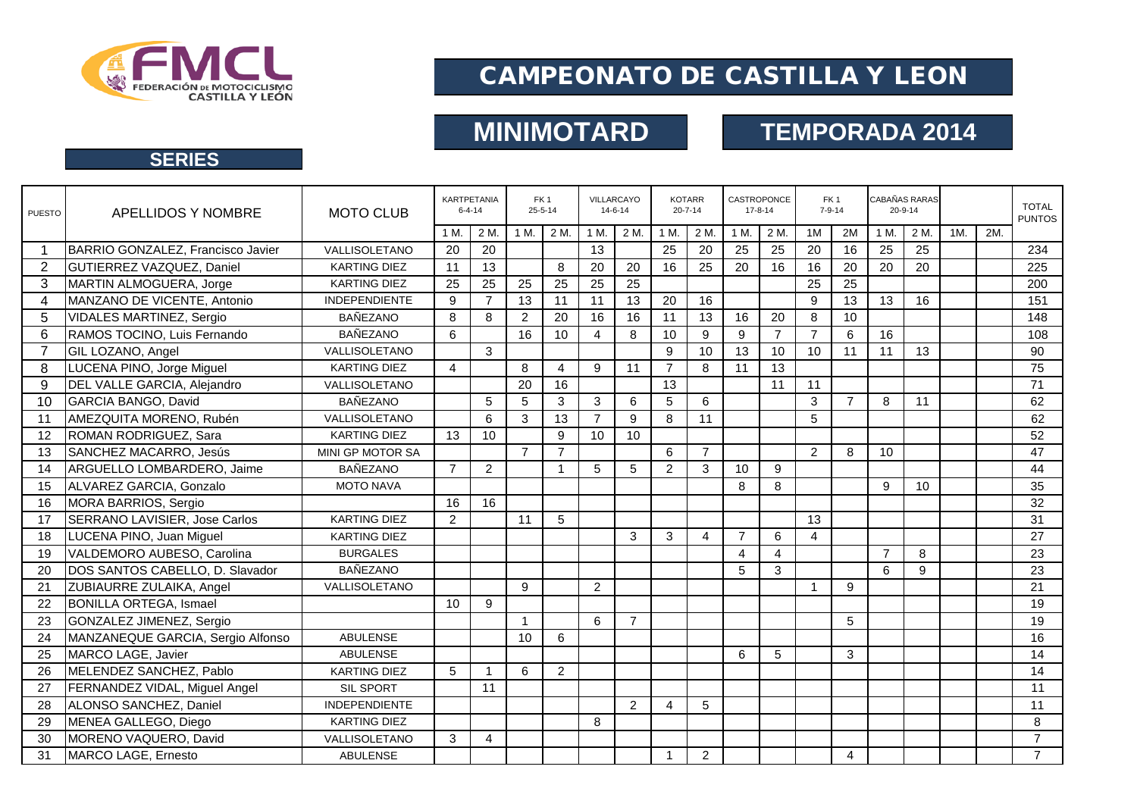

# CAMPEONATO DE CASTILLA Y LEON

# **MINIMOTARD TEMPORADA 2014**

## **SERIES**

| <b>PUESTO</b>  | APELLIDOS Y NOMBRE                   | <b>MOTO CLUB</b>     |                | <b>KARTPETANIA</b><br>$6 - 4 - 14$ |                | FK <sub>1</sub><br>$25 - 5 - 14$ |                | VILLARCAYO<br>$14 - 6 - 14$ |                | <b>KOTARR</b><br>$20 - 7 - 14$ |                        | CASTROPONCE<br>$17 - 8 - 14$ | FK <sub>1</sub><br>$7 - 9 - 14$ |                | CABAÑAS RARAS<br>$20 - 9 - 14$ |      |     |     | <b>TOTAL</b><br><b>PUNTOS</b> |
|----------------|--------------------------------------|----------------------|----------------|------------------------------------|----------------|----------------------------------|----------------|-----------------------------|----------------|--------------------------------|------------------------|------------------------------|---------------------------------|----------------|--------------------------------|------|-----|-----|-------------------------------|
|                |                                      |                      | 1 M.           | 2 M.                               | 1 M.           | 2 M                              | 1 M.           | 2 M.                        | 1 M.           | 2 M.                           | 1 M.                   | 2 M.                         | 1M                              | 2M             | 1 M.                           | 2 M. | 1M. | 2M. |                               |
| $\mathbf 1$    | BARRIO GONZALEZ, Francisco Javier    | VALLISOLETANO        | 20             | 20                                 |                |                                  | 13             |                             | 25             | 20                             | 25                     | 25                           | 20                              | 16             | 25                             | 25   |     |     | 234                           |
| 2              | GUTIERREZ VAZQUEZ, Daniel            | <b>KARTING DIEZ</b>  | 11             | 13                                 |                | 8                                | 20             | 20                          | 16             | 25                             | 20                     | 16                           | 16                              | 20             | 20                             | 20   |     |     | 225                           |
| 3              | MARTIN ALMOGUERA, Jorge              | <b>KARTING DIEZ</b>  | 25             | 25                                 | 25             | 25                               | 25             | 25                          |                |                                |                        |                              | 25                              | 25             |                                |      |     |     | 200                           |
| 4              | MANZANO DE VICENTE, Antonio          | <b>INDEPENDIENTE</b> | 9              | $\overline{7}$                     | 13             | 11                               | 11             | 13                          | 20             | 16                             |                        |                              | 9                               | 13             | 13                             | 16   |     |     | 151                           |
| 5              | <b>VIDALES MARTINEZ, Sergio</b>      | <b>BAÑEZANO</b>      | 8              | 8                                  | 2              | 20                               | 16             | 16                          | 11             | 13                             | 16                     | 20                           | 8                               | 10             |                                |      |     |     | 148                           |
| 6              | RAMOS TOCINO, Luis Fernando          | <b>BAÑEZANO</b>      | 6              |                                    | 16             | 10                               | $\overline{4}$ | 8                           | 10             | 9                              | 9                      | $\overline{7}$               | $\overline{7}$                  | 6              | 16                             |      |     |     | 108                           |
| $\overline{7}$ | GIL LOZANO, Angel                    | VALLISOLETANO        |                | 3                                  |                |                                  |                |                             | 9              | 10                             | 13                     | 10                           | 10                              | 11             | 11                             | 13   |     |     | 90                            |
| 8              | LUCENA PINO, Jorge Miguel            | <b>KARTING DIEZ</b>  | 4              |                                    | 8              | $\overline{4}$                   | 9              | 11                          | $\overline{7}$ | 8                              | 11                     | 13                           |                                 |                |                                |      |     |     | 75                            |
| 9              | DEL VALLE GARCIA, Alejandro          | VALLISOLETANO        |                |                                    | 20             | 16                               |                |                             | 13             |                                |                        | 11                           | 11                              |                |                                |      |     |     | 71                            |
| 10             | <b>GARCIA BANGO, David</b>           | <b>BAÑEZANO</b>      |                | 5                                  | 5              | 3                                | 3              | 6                           | 5              | 6                              |                        |                              | 3                               | $\overline{7}$ | 8                              | 11   |     |     | 62                            |
| 11             | AMEZQUITA MORENO, Rubén              | VALLISOLETANO        |                | 6                                  | 3              | 13                               | $\overline{7}$ | 9                           | 8              | 11                             |                        |                              | 5                               |                |                                |      |     |     | 62                            |
| 12             | ROMAN RODRIGUEZ, Sara                | <b>KARTING DIEZ</b>  | 13             | 10                                 |                | 9                                | 10             | 10                          |                |                                |                        |                              |                                 |                |                                |      |     |     | 52                            |
| 13             | SANCHEZ MACARRO, Jesús               | MINI GP MOTOR SA     |                |                                    | $\overline{7}$ | $\overline{7}$                   |                |                             | 6              | $\overline{7}$                 |                        |                              | $\overline{2}$                  | 8              | 10                             |      |     |     | 47                            |
| 14             | ARGUELLO LOMBARDERO, Jaime           | <b>BAÑEZANO</b>      | $\overline{7}$ | $\overline{2}$                     |                | $\overline{\mathbf{1}}$          | 5              | 5                           | $\overline{2}$ | 3                              | 10                     | 9                            |                                 |                |                                |      |     |     | 44                            |
| 15             | ALVAREZ GARCIA, Gonzalo              | <b>MOTO NAVA</b>     |                |                                    |                |                                  |                |                             |                |                                | 8                      | 8                            |                                 |                | 9                              | 10   |     |     | 35                            |
| 16             | MORA BARRIOS, Sergio                 |                      | 16             | 16                                 |                |                                  |                |                             |                |                                |                        |                              |                                 |                |                                |      |     |     | 32                            |
| 17             | <b>SERRANO LAVISIER, Jose Carlos</b> | <b>KARTING DIEZ</b>  | $\overline{2}$ |                                    | 11             | 5                                |                |                             |                |                                |                        |                              | 13                              |                |                                |      |     |     | 31                            |
| 18             | LUCENA PINO, Juan Miguel             | <b>KARTING DIEZ</b>  |                |                                    |                |                                  |                | 3                           | 3              | 4                              | $\overline{7}$         | 6                            | 4                               |                |                                |      |     |     | 27                            |
| 19             | VALDEMORO AUBESO, Carolina           | <b>BURGALES</b>      |                |                                    |                |                                  |                |                             |                |                                | $\boldsymbol{\Lambda}$ | 4                            |                                 |                | $\overline{7}$                 | 8    |     |     | 23                            |
| 20             | DOS SANTOS CABELLO, D. Slavador      | <b>BAÑEZANO</b>      |                |                                    |                |                                  |                |                             |                |                                | 5                      | 3                            |                                 |                | 6                              | 9    |     |     | 23                            |
| 21             | ZUBIAURRE ZULAIKA, Angel             | VALLISOLETANO        |                |                                    | 9              |                                  | 2              |                             |                |                                |                        |                              | 1                               | 9              |                                |      |     |     | 21                            |
| 22             | <b>BONILLA ORTEGA, Ismael</b>        |                      | 10             | 9                                  |                |                                  |                |                             |                |                                |                        |                              |                                 |                |                                |      |     |     | 19                            |
| 23             | GONZALEZ JIMENEZ, Sergio             |                      |                |                                    | $\overline{1}$ |                                  | 6              | $\overline{7}$              |                |                                |                        |                              |                                 | 5              |                                |      |     |     | 19                            |
| 24             | MANZANEQUE GARCIA, Sergio Alfonso    | <b>ABULENSE</b>      |                |                                    | 10             | 6                                |                |                             |                |                                |                        |                              |                                 |                |                                |      |     |     | 16                            |
| 25             | MARCO LAGE, Javier                   | <b>ABULENSE</b>      |                |                                    |                |                                  |                |                             |                |                                | 6                      | 5                            |                                 | 3              |                                |      |     |     | 14                            |
| 26             | MELENDEZ SANCHEZ, Pablo              | <b>KARTING DIEZ</b>  | 5              | $\overline{1}$                     | 6              | 2                                |                |                             |                |                                |                        |                              |                                 |                |                                |      |     |     | 14                            |
| 27             | FERNANDEZ VIDAL, Miguel Angel        | SIL SPORT            |                | 11                                 |                |                                  |                |                             |                |                                |                        |                              |                                 |                |                                |      |     |     | 11                            |
| 28             | ALONSO SANCHEZ, Daniel               | <b>INDEPENDIENTE</b> |                |                                    |                |                                  |                | $\overline{2}$              | 4              | 5                              |                        |                              |                                 |                |                                |      |     |     | 11                            |
| 29             | MENEA GALLEGO, Diego                 | <b>KARTING DIEZ</b>  |                |                                    |                |                                  | 8              |                             |                |                                |                        |                              |                                 |                |                                |      |     |     | 8                             |
| 30             | MORENO VAQUERO, David                | VALLISOLETANO        | 3              | 4                                  |                |                                  |                |                             |                |                                |                        |                              |                                 |                |                                |      |     |     | $\overline{7}$                |
| 31             | MARCO LAGE, Ernesto                  | <b>ABULENSE</b>      |                |                                    |                |                                  |                |                             |                | $\overline{c}$                 |                        |                              |                                 | $\overline{4}$ |                                |      |     |     | $\overline{7}$                |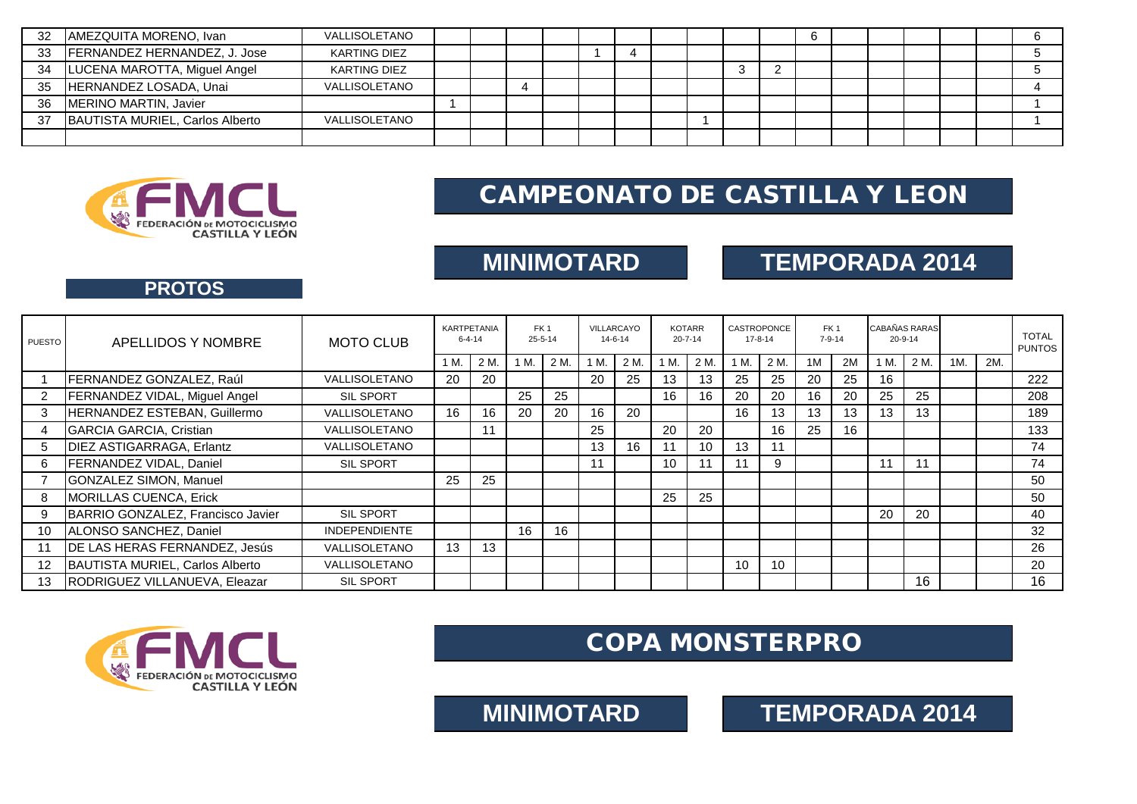| 32 | AMEZQUITA MORENO, Ivan          | VALLISOLETANO       |  |   |  |  |  |   | U |  |  |  |
|----|---------------------------------|---------------------|--|---|--|--|--|---|---|--|--|--|
| 33 | FERNANDEZ HERNANDEZ, J. Jose    | <b>KARTING DIEZ</b> |  |   |  |  |  |   |   |  |  |  |
| 34 | LUCENA MAROTTA, Miguel Angel    | <b>KARTING DIEZ</b> |  |   |  |  |  | _ |   |  |  |  |
| 35 | HERNANDEZ LOSADA, Unai          | VALLISOLETANO       |  | 4 |  |  |  |   |   |  |  |  |
| 36 | MERINO MARTIN, Javier           |                     |  |   |  |  |  |   |   |  |  |  |
| 37 | BAUTISTA MURIEL, Carlos Alberto | VALLISOLETANO       |  |   |  |  |  |   |   |  |  |  |
|    |                                 |                     |  |   |  |  |  |   |   |  |  |  |



# CAMPEONATO DE CASTILLA Y LEON

## **MINIMOTARD TEMPORADA 2014**

## **PROTOS**

| <b>PUESTO</b>  | APELLIDOS Y NOMBRE                | <b>MOTO CLUB</b>     | <b>KARTPETANIA</b><br>$6 - 4 - 14$ |      | FK <sub>1</sub><br>$25 - 5 - 14$ |      | VILLARCAYO<br>$14 - 6 - 14$ |      | <b>KOTARR</b><br>$20 - 7 - 14$ |      | CASTROPONCE<br>$17 - 8 - 14$ |                 | FK <sub>1</sub><br>$7 - 9 - 14$ |    | CABAÑAS RARAS<br>20-9-14 |      |     |     | <b>TOTAL</b><br><b>PUNTOS</b> |
|----------------|-----------------------------------|----------------------|------------------------------------|------|----------------------------------|------|-----------------------------|------|--------------------------------|------|------------------------------|-----------------|---------------------------------|----|--------------------------|------|-----|-----|-------------------------------|
|                |                                   |                      | 1 M.                               | 2 M. | 1 M.                             | 2 M. | 1 M.                        | 2 M. | 1 M.                           | 2 M. | 1 M.                         | 2 M.            | 1M                              | 2M | 1 M.                     | 2 M. | 1M. | 2M. |                               |
|                | FERNANDEZ GONZALEZ, Raúl          | VALLISOLETANO        | 20                                 | 20   |                                  |      | 20                          | 25   | 13                             | 13   | 25                           | 25              | 20                              | 25 | 16                       |      |     |     | 222                           |
| $\overline{2}$ | FERNANDEZ VIDAL, Miguel Angel     | <b>SIL SPORT</b>     |                                    |      | 25                               | 25   |                             |      | 16                             | 16   | 20                           | 20              | 16                              | 20 | 25                       | 25   |     |     | 208                           |
| 3              | HERNANDEZ ESTEBAN, Guillermo      | VALLISOLETANO        | 16                                 | 16   | 20                               | 20   | 16                          | 20   |                                |      | 16                           | 13              | 13                              | 13 | 13                       | 13   |     |     | 189                           |
| $\overline{4}$ | <b>GARCIA GARCIA, Cristian</b>    | VALLISOLETANO        |                                    | 11   |                                  |      | 25                          |      | 20                             | 20   |                              | 16              | 25                              | 16 |                          |      |     |     | 133                           |
| 5              | <b>DIEZ ASTIGARRAGA, Erlantz</b>  | VALLISOLETANO        |                                    |      |                                  |      | 13                          | 16   | 11                             | 10   | 13                           | 11              |                                 |    |                          |      |     |     | 74                            |
| 6              | <b>FERNANDEZ VIDAL, Daniel</b>    | SIL SPORT            |                                    |      |                                  |      | 11                          |      | 10                             | 11   |                              | 9               |                                 |    | 11                       |      |     |     | 74                            |
|                | GONZALEZ SIMON, Manuel            |                      | 25                                 | 25   |                                  |      |                             |      |                                |      |                              |                 |                                 |    |                          |      |     |     | 50                            |
| 8              | <b>MORILLAS CUENCA, Erick</b>     |                      |                                    |      |                                  |      |                             |      | 25                             | 25   |                              |                 |                                 |    |                          |      |     |     | 50                            |
| 9              | BARRIO GONZALEZ, Francisco Javier | <b>SIL SPORT</b>     |                                    |      |                                  |      |                             |      |                                |      |                              |                 |                                 |    | 20                       | 20   |     |     | 40                            |
| 10             | ALONSO SANCHEZ, Daniel            | <b>INDEPENDIENTE</b> |                                    |      | 16                               | 16   |                             |      |                                |      |                              |                 |                                 |    |                          |      |     |     | 32                            |
| 11             | DE LAS HERAS FERNANDEZ, Jesús     | VALLISOLETANO        | 13 <sup>°</sup>                    | 13   |                                  |      |                             |      |                                |      |                              |                 |                                 |    |                          |      |     |     | 26                            |
| 12             | BAUTISTA MURIEL, Carlos Alberto   | VALLISOLETANO        |                                    |      |                                  |      |                             |      |                                |      | 10                           | 10 <sup>°</sup> |                                 |    |                          |      |     |     | 20                            |
| 13             | RODRIGUEZ VILLANUEVA, Eleazar     | <b>SIL SPORT</b>     |                                    |      |                                  |      |                             |      |                                |      |                              |                 |                                 |    |                          | 16   |     |     | 16                            |



# COPA MONSTERPRO

**MINIMOTARD TEMPORADA 2014**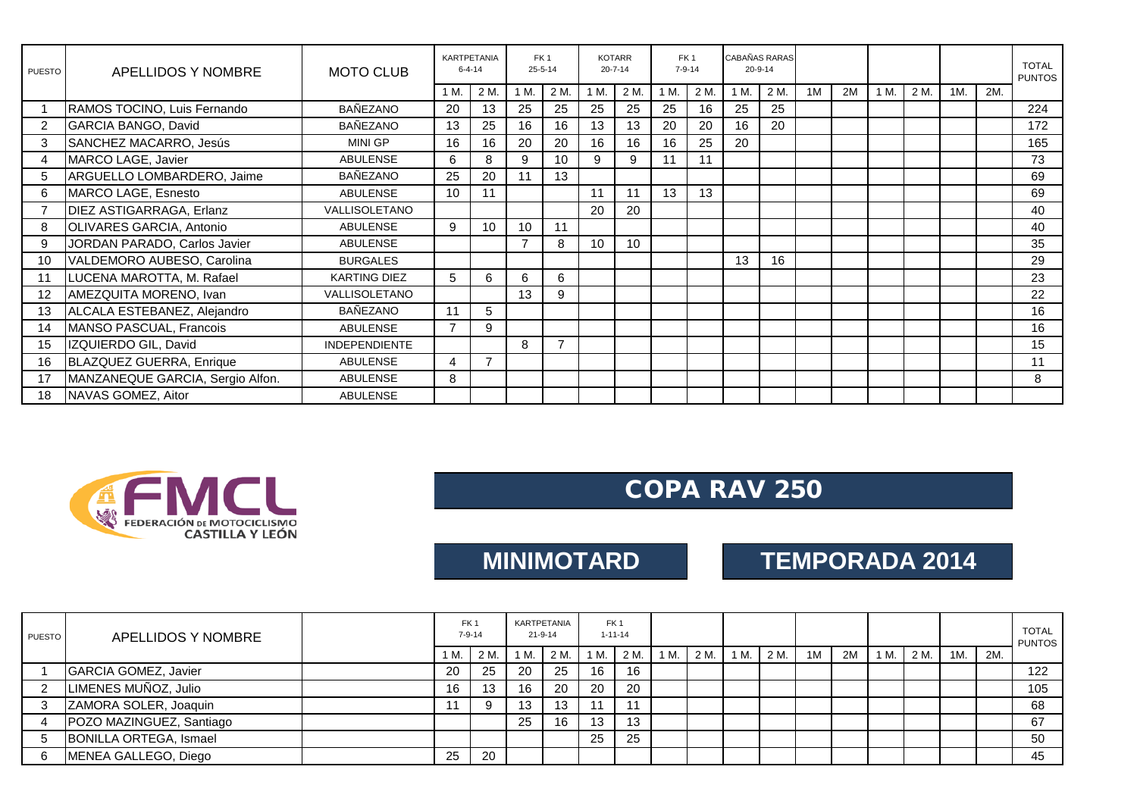| PUESTO | APELLIDOS Y NOMBRE               | <b>MOTO CLUB</b>     |      | <b>KARTPETANIA</b><br>$6 - 4 - 14$ |                | FK <sub>1</sub><br>$25 - 5 - 14$ |      | <b>KOTARR</b><br>$20 - 7 - 14$ |      | FK <sub>1</sub><br>$7 - 9 - 14$ |      | <b>CABAÑAS RARAS</b><br>$20 - 9 - 14$ |    |    |      |      |     |     | <b>TOTAL</b><br><b>PUNTOS</b> |
|--------|----------------------------------|----------------------|------|------------------------------------|----------------|----------------------------------|------|--------------------------------|------|---------------------------------|------|---------------------------------------|----|----|------|------|-----|-----|-------------------------------|
|        |                                  |                      | 1 M. | 2 M.                               | 1 M.           | 2 M.                             | 1 M. | 2 M.                           | 1 M. | 2 M.                            | 1 M. | 2 M.                                  | 1M | 2M | 1 M. | 2 M. | 1M. | 2M. |                               |
|        | RAMOS TOCINO, Luis Fernando      | <b>BAÑEZANO</b>      | 20   | 13                                 | 25             | 25                               | 25   | 25                             | 25   | 16                              | 25   | 25                                    |    |    |      |      |     |     | 224                           |
| 2      | GARCIA BANGO, David              | <b>BAÑEZANO</b>      | 13   | 25                                 | 16             | 16                               | 13   | 13                             | 20   | 20                              | 16   | 20                                    |    |    |      |      |     |     | 172                           |
| 3      | SANCHEZ MACARRO, Jesús           | <b>MINI GP</b>       | 16   | 16                                 | 20             | 20                               | 16   | 16                             | 16   | 25                              | 20   |                                       |    |    |      |      |     |     | 165                           |
| 4      | MARCO LAGE, Javier               | <b>ABULENSE</b>      | 6    | 8                                  | 9              | 10 <sup>°</sup>                  | 9    | 9                              | 11   | 11                              |      |                                       |    |    |      |      |     |     | 73                            |
| 5      | ARGUELLO LOMBARDERO, Jaime       | <b>BAÑEZANO</b>      | 25   | 20                                 | 11             | 13                               |      |                                |      |                                 |      |                                       |    |    |      |      |     |     | 69                            |
| 6      | MARCO LAGE, Esnesto              | <b>ABULENSE</b>      | 10   | 11                                 |                |                                  | 11   | 11                             | 13   | 13                              |      |                                       |    |    |      |      |     |     | 69                            |
|        | DIEZ ASTIGARRAGA, Erlanz         | VALLISOLETANO        |      |                                    |                |                                  | 20   | 20                             |      |                                 |      |                                       |    |    |      |      |     |     | 40                            |
| 8      | OLIVARES GARCIA, Antonio         | <b>ABULENSE</b>      | 9    | 10                                 | 10             | 11                               |      |                                |      |                                 |      |                                       |    |    |      |      |     |     | 40                            |
| 9      | JORDAN PARADO, Carlos Javier     | <b>ABULENSE</b>      |      |                                    | $\overline{7}$ | 8                                | 10   | 10                             |      |                                 |      |                                       |    |    |      |      |     |     | 35                            |
| 10     | VALDEMORO AUBESO, Carolina       | <b>BURGALES</b>      |      |                                    |                |                                  |      |                                |      |                                 | 13   | 16                                    |    |    |      |      |     |     | 29                            |
| 11     | LUCENA MAROTTA, M. Rafael        | <b>KARTING DIEZ</b>  | 5    | 6                                  | 6              | 6                                |      |                                |      |                                 |      |                                       |    |    |      |      |     |     | 23                            |
| 12     | AMEZQUITA MORENO, Ivan           | <b>VALLISOLETANO</b> |      |                                    | 13             | 9                                |      |                                |      |                                 |      |                                       |    |    |      |      |     |     | 22                            |
| 13     | ALCALA ESTEBANEZ, Alejandro      | <b>BAÑEZANO</b>      | 11   | 5                                  |                |                                  |      |                                |      |                                 |      |                                       |    |    |      |      |     |     | 16                            |
| 14     | MANSO PASCUAL, Francois          | <b>ABULENSE</b>      |      | 9                                  |                |                                  |      |                                |      |                                 |      |                                       |    |    |      |      |     |     | 16                            |
| 15     | IZQUIERDO GIL, David             | <b>INDEPENDIENTE</b> |      |                                    | 8              | $\overline{ }$                   |      |                                |      |                                 |      |                                       |    |    |      |      |     |     | 15                            |
| 16     | BLAZQUEZ GUERRA, Enrique         | <b>ABULENSE</b>      | 4    | $\overline{7}$                     |                |                                  |      |                                |      |                                 |      |                                       |    |    |      |      |     |     | 11                            |
| 17     | MANZANEQUE GARCIA, Sergio Alfon. | <b>ABULENSE</b>      | 8    |                                    |                |                                  |      |                                |      |                                 |      |                                       |    |    |      |      |     |     | 8                             |
| 18     | NAVAS GOMEZ, Aitor               | <b>ABULENSE</b>      |      |                                    |                |                                  |      |                                |      |                                 |      |                                       |    |    |      |      |     |     |                               |



# COPA RAV 250

# **MINIMOTARD TEMPORADA 2014**

| <b>PUESTO</b> | APELLIDOS Y NOMBRE       |  | FK <sub>1</sub><br>$7 - 9 - 14$ |      | KARTPETANIA<br>$21 - 9 - 14$ |      | FK <sub>1</sub><br>$1 - 11 - 14$ |      |      |      |     |      |    |    |      |      |     |     | <b>TOTAL</b><br><b>PUNTOS</b> |
|---------------|--------------------------|--|---------------------------------|------|------------------------------|------|----------------------------------|------|------|------|-----|------|----|----|------|------|-----|-----|-------------------------------|
|               |                          |  | 1 M.                            | 2 M. | 1 M.                         | 2 M. | 1 M.                             | 2 M. | 1 M. | 2 M. | IM. | 2 M. | 1M | 2M | ' M. | 2 M. | 1M. | 2M. |                               |
|               | GARCIA GOMEZ, Javier     |  | 20                              | 25   | 20                           | 25   | 16                               | 16   |      |      |     |      |    |    |      |      |     |     | 122                           |
|               | LIMENES MUÑOZ, Julio     |  | 16                              | 13   | 16                           | -20  | 20                               | 20   |      |      |     |      |    |    |      |      |     |     | 105                           |
|               | ZAMORA SOLER, Joaquin    |  |                                 |      | 13                           | 13   | 11                               |      |      |      |     |      |    |    |      |      |     |     | 68                            |
|               | POZO MAZINGUEZ, Santiago |  |                                 |      | 25                           | 16   | 13                               | 13   |      |      |     |      |    |    |      |      |     |     | 67                            |
|               | BONILLA ORTEGA, Ismael   |  |                                 |      |                              |      | 25                               | 25   |      |      |     |      |    |    |      |      |     |     | 50                            |
| 6             | MENEA GALLEGO, Diego     |  | 25                              | 20   |                              |      |                                  |      |      |      |     |      |    |    |      |      |     |     | 45                            |